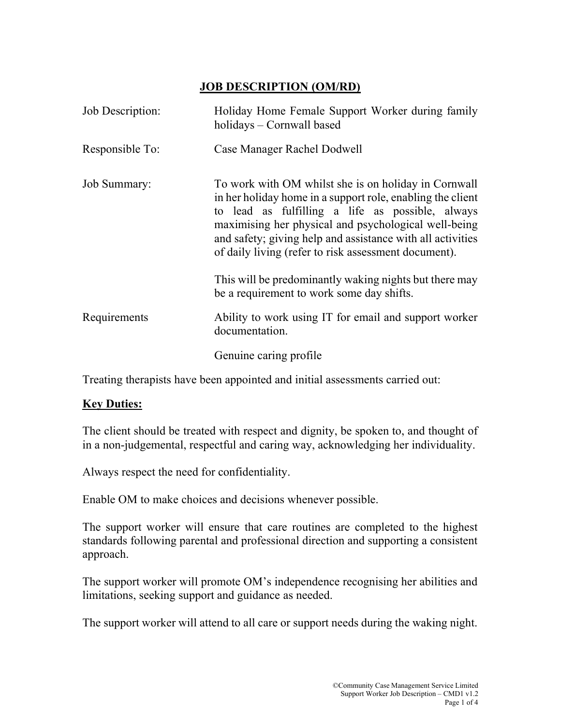## JOB DESCRIPTION (OM/RD)

| Job Description: | Holiday Home Female Support Worker during family<br>holidays - Cornwall based                                                                                                                                                                                                                                                                        |  |  |  |  |  |
|------------------|------------------------------------------------------------------------------------------------------------------------------------------------------------------------------------------------------------------------------------------------------------------------------------------------------------------------------------------------------|--|--|--|--|--|
| Responsible To:  | Case Manager Rachel Dodwell                                                                                                                                                                                                                                                                                                                          |  |  |  |  |  |
| Job Summary:     | To work with OM whilst she is on holiday in Cornwall<br>in her holiday home in a support role, enabling the client<br>to lead as fulfilling a life as possible, always<br>maximising her physical and psychological well-being<br>and safety; giving help and assistance with all activities<br>of daily living (refer to risk assessment document). |  |  |  |  |  |
|                  | This will be predominantly waking nights but there may<br>be a requirement to work some day shifts.                                                                                                                                                                                                                                                  |  |  |  |  |  |
| Requirements     | Ability to work using IT for email and support worker<br>documentation.                                                                                                                                                                                                                                                                              |  |  |  |  |  |
|                  | Genuine caring profile                                                                                                                                                                                                                                                                                                                               |  |  |  |  |  |

Treating therapists have been appointed and initial assessments carried out:

## **Key Duties:**

The client should be treated with respect and dignity, be spoken to, and thought of in a non-judgemental, respectful and caring way, acknowledging her individuality.

Always respect the need for confidentiality.

Enable OM to make choices and decisions whenever possible.

The support worker will ensure that care routines are completed to the highest standards following parental and professional direction and supporting a consistent approach.

The support worker will promote OM's independence recognising her abilities and limitations, seeking support and guidance as needed.

The support worker will attend to all care or support needs during the waking night.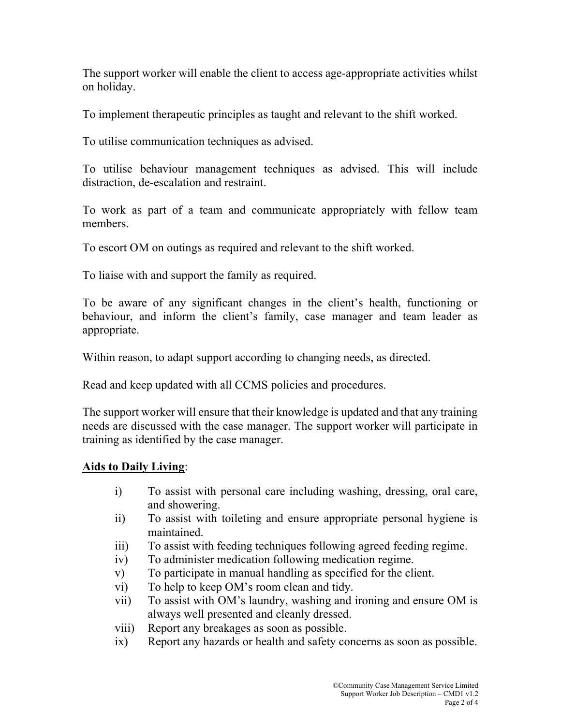The support worker will enable the client to access age-appropriate activities whilst on holiday.

To implement therapeutic principles as taught and relevant to the shift worked.

To utilise communication techniques as advised.

To utilise behaviour management techniques as advised. This will include distraction, de-escalation and restraint.

To work as part of a team and communicate appropriately with fellow team members.

To escort OM on outings as required and relevant to the shift worked.

To liaise with and support the family as required.

To be aware of any significant changes in the client's health, functioning or behaviour, and inform the client's family, case manager and team leader as appropriate.

Within reason, to adapt support according to changing needs, as directed.

Read and keep updated with all CCMS policies and procedures.

The support worker will ensure that their knowledge is updated and that any training needs are discussed with the case manager. The support worker will participate in training as identified by the case manager.

## Aids to Daily Living: Ξ

- i) To assist with personal care including washing, dressing, oral care, and showering.
- ii) To assist with toileting and ensure appropriate personal hygiene is maintained.
- iii) To assist with feeding techniques following agreed feeding regime.
- iv) To administer medication following medication regime.
- v) To participate in manual handling as specified for the client.
- vi) To help to keep OM's room clean and tidy.
- vii) To assist with OM's laundry, washing and ironing and ensure OM is always well presented and cleanly dressed.
- viii) Report any breakages as soon as possible.
- ix) Report any hazards or health and safety concerns as soon as possible.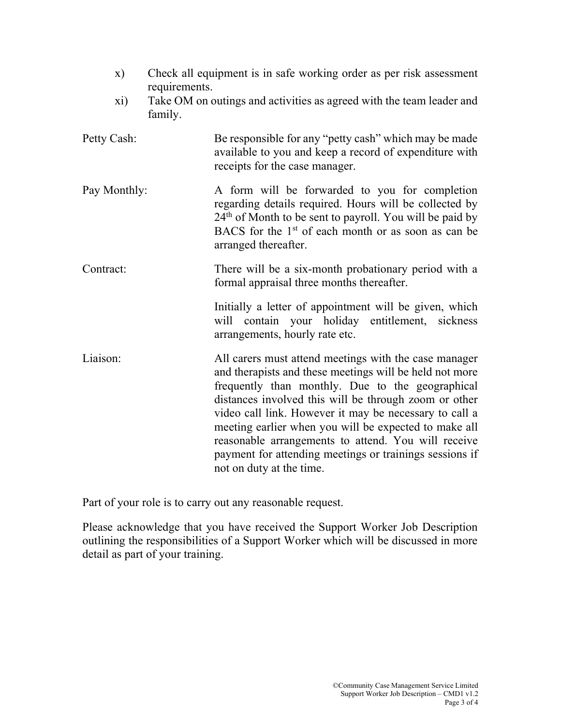| $\mathbf{x})$ | Check all equipment is in safe working order as per risk assessment<br>requirements.                                                                                                                                                                                                                                                                                                                                                                                                           |  |  |  |  |  |
|---------------|------------------------------------------------------------------------------------------------------------------------------------------------------------------------------------------------------------------------------------------------------------------------------------------------------------------------------------------------------------------------------------------------------------------------------------------------------------------------------------------------|--|--|--|--|--|
| xi)           | Take OM on outings and activities as agreed with the team leader and<br>family.                                                                                                                                                                                                                                                                                                                                                                                                                |  |  |  |  |  |
| Petty Cash:   | Be responsible for any "petty cash" which may be made<br>available to you and keep a record of expenditure with<br>receipts for the case manager.                                                                                                                                                                                                                                                                                                                                              |  |  |  |  |  |
| Pay Monthly:  | A form will be forwarded to you for completion<br>regarding details required. Hours will be collected by<br>$24th$ of Month to be sent to payroll. You will be paid by<br>BACS for the $1st$ of each month or as soon as can be<br>arranged thereafter.                                                                                                                                                                                                                                        |  |  |  |  |  |
| Contract:     | There will be a six-month probationary period with a<br>formal appraisal three months thereafter.                                                                                                                                                                                                                                                                                                                                                                                              |  |  |  |  |  |
|               | Initially a letter of appointment will be given, which<br>will contain your holiday entitlement, sickness<br>arrangements, hourly rate etc.                                                                                                                                                                                                                                                                                                                                                    |  |  |  |  |  |
| Liaison:      | All carers must attend meetings with the case manager<br>and therapists and these meetings will be held not more<br>frequently than monthly. Due to the geographical<br>distances involved this will be through zoom or other<br>video call link. However it may be necessary to call a<br>meeting earlier when you will be expected to make all<br>reasonable arrangements to attend. You will receive<br>payment for attending meetings or trainings sessions if<br>not on duty at the time. |  |  |  |  |  |

Part of your role is to carry out any reasonable request.

Please acknowledge that you have received the Support Worker Job Description outlining the responsibilities of a Support Worker which will be discussed in more detail as part of your training.